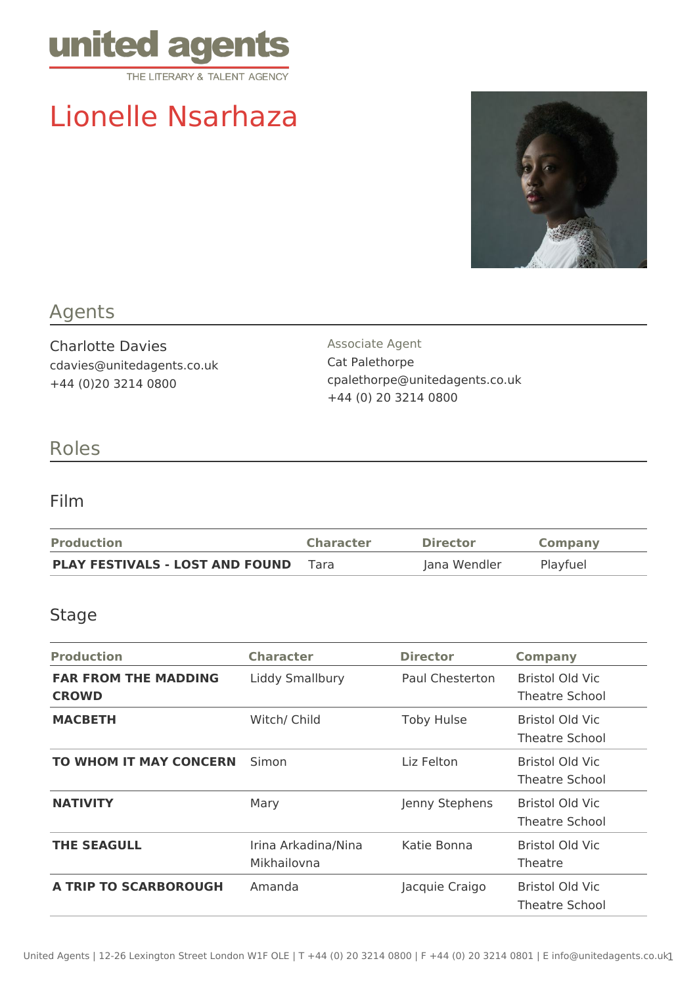

# Lionelle Nsarhaza



## Agents

Charlotte Davies cdavies@unitedagents.co.uk +44 (0)20 3214 0800

Associate Agent Cat Palethorpe cpalethorpe@unitedagents.co.uk +44 (0) 20 3214 0800

## Roles

### Film

| <b>Production</b>                      | <b>Character</b> | <b>Director</b> | <b>Company</b> |
|----------------------------------------|------------------|-----------------|----------------|
| <b>PLAY FESTIVALS - LOST AND FOUND</b> | Tara             | Jana Wendler    | Playfuel       |

#### Stage

| <b>Production</b>                           | <b>Character</b>                   | <b>Director</b>   | <b>Company</b>                           |
|---------------------------------------------|------------------------------------|-------------------|------------------------------------------|
| <b>FAR FROM THE MADDING</b><br><b>CROWD</b> | Liddy Smallbury                    | Paul Chesterton   | Bristol Old Vic<br>Theatre School        |
| <b>MACBETH</b>                              | Witch/ Child                       | <b>Toby Hulse</b> | Bristol Old Vic<br>Theatre School        |
| <b>TO WHOM IT MAY CONCERN</b>               | Simon                              | Liz Felton        | Bristol Old Vic<br>Theatre School        |
| <b>NATIVITY</b>                             | Mary                               | Jenny Stephens    | Bristol Old Vic<br><b>Theatre School</b> |
| <b>THE SEAGULL</b>                          | Irina Arkadina/Nina<br>Mikhailovna | Katie Bonna       | Bristol Old Vic<br>Theatre               |
| <b>A TRIP TO SCARBOROUGH</b>                | Amanda                             | Jacquie Craigo    | Bristol Old Vic<br><b>Theatre School</b> |